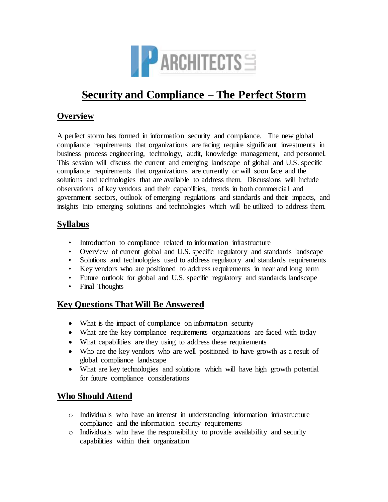

# **Security and Compliance – The Perfect Storm**

## **Overview**

A perfect storm has formed in information security and compliance. The new global compliance requirements that organizations are facing require significant investments in business process engineering, technology, audit, knowledge management, and personnel. This session will discuss the current and emerging landscape of global and U.S. specific compliance requirements that organizations are currently or will soon face and the solutions and technologies that are available to address them. Discussions will include observations of key vendors and their capabilities, trends in both commercial and government sectors, outlook of emerging regulations and standards and their impacts, and insights into emerging solutions and technologies which will be utilized to address them.

### **Syllabus**

- Introduction to compliance related to information infrastructure
- Overview of current global and U.S. specific regulatory and standards landscape
- Solutions and technologies used to address regulatory and standards requirements
- Key vendors who are positioned to address requirements in near and long term
- Future outlook for global and U.S. specific regulatory and standards landscape
- Final Thoughts

## **Key Questions ThatWill Be Answered**

- What is the impact of compliance on information security
- What are the key compliance requirements organizations are faced with today
- What capabilities are they using to address these requirements
- Who are the key vendors who are well positioned to have growth as a result of global compliance landscape
- What are key technologies and solutions which will have high growth potential for future compliance considerations

## **Who Should Attend**

- o Individuals who have an interest in understanding information infrastructure compliance and the information security requirements
- o Individuals who have the responsibility to provide availability and security capabilities within their organization